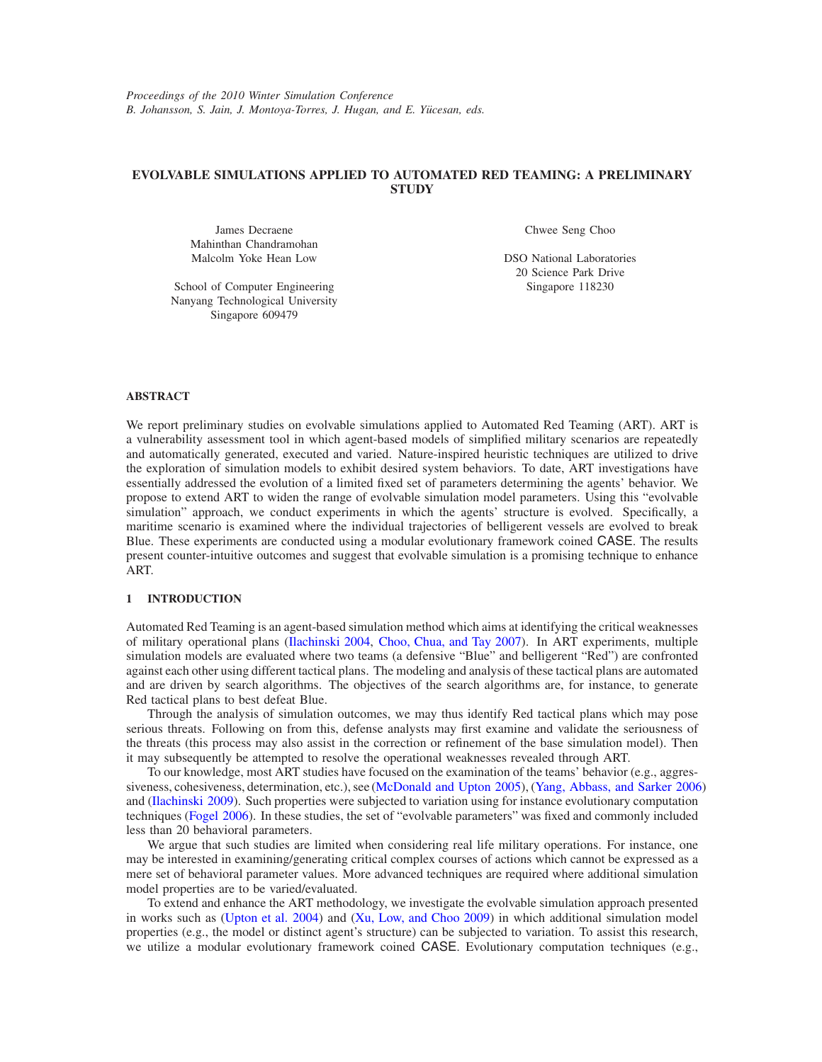# **EVOLVABLE SIMULATIONS APPLIED TO AUTOMATED RED TEAMING: A PRELIMINARY STUDY**

James Decraene Mahinthan Chandramohan Malcolm Yoke Hean Low

School of Computer Engineering Nanyang Technological University Singapore 609479

Chwee Seng Choo

DSO National Laboratories 20 Science Park Drive Singapore 118230

## **ABSTRACT**

We report preliminary studies on evolvable simulations applied to Automated Red Teaming (ART). ART is a vulnerability assessment tool in which agent-based models of simplified military scenarios are repeatedly and automatically generated, executed and varied. Nature-inspired heuristic techniques are utilized to drive the exploration of simulation models to exhibit desired system behaviors. To date, ART investigations have essentially addressed the evolution of a limited fixed set of parameters determining the agents' behavior. We propose to extend ART to widen the range of evolvable simulation model parameters. Using this "evolvable simulation" approach, we conduct experiments in which the agents' structure is evolved. Specifically, a maritime scenario is examined where the individual trajectories of belligerent vessels are evolved to break Blue. These experiments are conducted using a modular evolutionary framework coined CASE. The results present counter-intuitive outcomes and suggest that evolvable simulation is a promising technique to enhance ART.

## **1 INTRODUCTION**

Automated Red Teaming is an agent-based simulation method which aims at identifying the critical weaknesses of military operational plans (Ilachinski 2004, Choo, Chua, and Tay 2007). In ART experiments, multiple simulation models are evaluated where two teams (a defensive "Blue" and belligerent "Red") are confronted against each other using different tactical plans. The modeling and analysis of these tactical plans are automated and are driven by search algorithms. The objectives of the search algorithms are, for instance, to generate Red tactical plans to best defeat Blue.

Through the analysis of simulation outcomes, we may thus identify Red tactical plans which may pose serious threats. Following on from this, defense analysts may first examine and validate the seriousness of the threats (this process may also assist in the correction or refinement of the base simulation model). Then it may subsequently be attempted to resolve the operational weaknesses revealed through ART.

To our knowledge, most ART studies have focused on the examination of the teams' behavior (e.g., aggressiveness, cohesiveness, determination, etc.), see (McDonald and Upton 2005), (Yang, Abbass, and Sarker 2006) and (Ilachinski 2009). Such properties were subjected to variation using for instance evolutionary computation techniques (Fogel 2006). In these studies, the set of "evolvable parameters" was fixed and commonly included less than 20 behavioral parameters.

We argue that such studies are limited when considering real life military operations. For instance, one may be interested in examining/generating critical complex courses of actions which cannot be expressed as a mere set of behavioral parameter values. More advanced techniques are required where additional simulation model properties are to be varied/evaluated.

To extend and enhance the ART methodology, we investigate the evolvable simulation approach presented in works such as (Upton et al. 2004) and (Xu, Low, and Choo 2009) in which additional simulation model properties (e.g., the model or distinct agent's structure) can be subjected to variation. To assist this research, we utilize a modular evolutionary framework coined CASE. Evolutionary computation techniques (e.g.,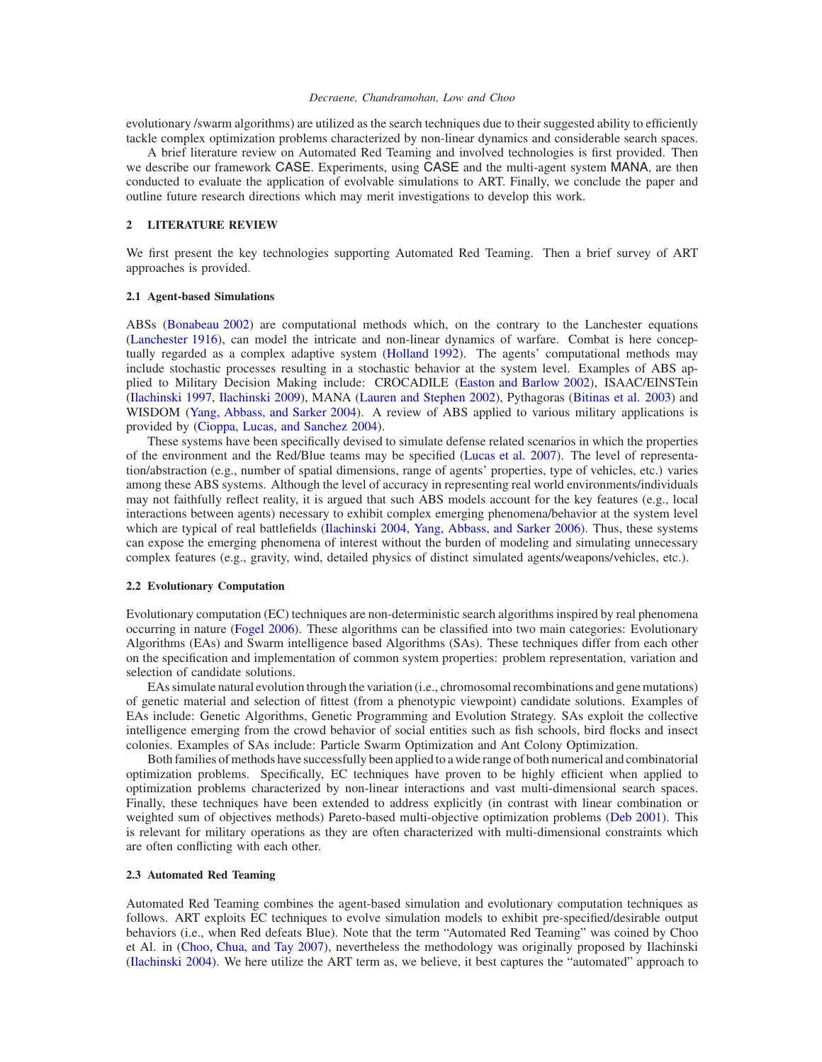evolutionary /swarm algorithms) are utilized as the search techniques due to their suggested ability to efficiently tackle complex optimization problems characterized by non-linear dynamics and considerable search spaces.

A brief literature review on Automated Red Teaming and involved technologies is first provided. Then we describe our framework CASE. Experiments, using CASE and the multi-agent system MANA, are then conducted to evaluate the application of evolvable simulations to ART. Finally, we conclude the paper and outline future research directions which may merit investigations to develop this work.

## **2 LITERATURE REVIEW**

We first present the key technologies supporting Automated Red Teaming. Then a brief survey of ART approaches is provided.

#### **2.1 Agent-based Simulations**

ABSs (Bonabeau 2002) are computational methods which, on the contrary to the Lanchester equations (Lanchester 1916), can model the intricate and non-linear dynamics of warfare. Combat is here conceptually regarded as a complex adaptive system (Holland 1992). The agents' computational methods may include stochastic processes resulting in a stochastic behavior at the system level. Examples of ABS applied to Military Decision Making include: CROCADILE (Easton and Barlow 2002), ISAAC/EINSTein (Ilachinski 1997, Ilachinski 2009), MANA (Lauren and Stephen 2002), Pythagoras (Bitinas et al. 2003) and WISDOM (Yang, Abbass, and Sarker 2004). A review of ABS applied to various military applications is provided by (Cioppa, Lucas, and Sanchez 2004).

These systems have been specifically devised to simulate defense related scenarios in which the properties of the environment and the Red/Blue teams may be specified (Lucas et al. 2007). The level of representation/abstraction (e.g., number of spatial dimensions, range of agents' properties, type of vehicles, etc.) varies among these ABS systems. Although the level of accuracy in representing real world environments/individuals may not faithfully reflect reality, it is argued that such ABS models account for the key features (e.g., local interactions between agents) necessary to exhibit complex emerging phenomena/behavior at the system level which are typical of real battlefields (Ilachinski 2004, Yang, Abbass, and Sarker 2006). Thus, these systems can expose the emerging phenomena of interest without the burden of modeling and simulating unnecessary complex features (e.g., gravity, wind, detailed physics of distinct simulated agents/weapons/vehicles, etc.).

## **2.2 Evolutionary Computation**

Evolutionary computation (EC) techniques are non-deterministic search algorithms inspired by real phenomena occurring in nature (Fogel 2006). These algorithms can be classified into two main categories: Evolutionary Algorithms (EAs) and Swarm intelligence based Algorithms (SAs). These techniques differ from each other on the specification and implementation of common system properties: problem representation, variation and selection of candidate solutions.

EAs simulate natural evolution through the variation (i.e., chromosomal recombinations and gene mutations) of genetic material and selection of fittest (from a phenotypic viewpoint) candidate solutions. Examples of EAs include: Genetic Algorithms, Genetic Programming and Evolution Strategy. SAs exploit the collective intelligence emerging from the crowd behavior of social entities such as fish schools, bird flocks and insect colonies. Examples of SAs include: Particle Swarm Optimization and Ant Colony Optimization.

Both families of methods have successfully been applied to a wide range of both numerical and combinatorial optimization problems. Specifically, EC techniques have proven to be highly efficient when applied to optimization problems characterized by non-linear interactions and vast multi-dimensional search spaces. Finally, these techniques have been extended to address explicitly (in contrast with linear combination or weighted sum of objectives methods) Pareto-based multi-objective optimization problems (Deb 2001). This is relevant for military operations as they are often characterized with multi-dimensional constraints which are often conflicting with each other.

### **2.3 Automated Red Teaming**

Automated Red Teaming combines the agent-based simulation and evolutionary computation techniques as follows. ART exploits EC techniques to evolve simulation models to exhibit pre-specified/desirable output behaviors (i.e., when Red defeats Blue). Note that the term "Automated Red Teaming" was coined by Choo et Al. in (Choo, Chua, and Tay 2007), nevertheless the methodology was originally proposed by Ilachinski (Ilachinski 2004). We here utilize the ART term as, we believe, it best captures the "automated" approach to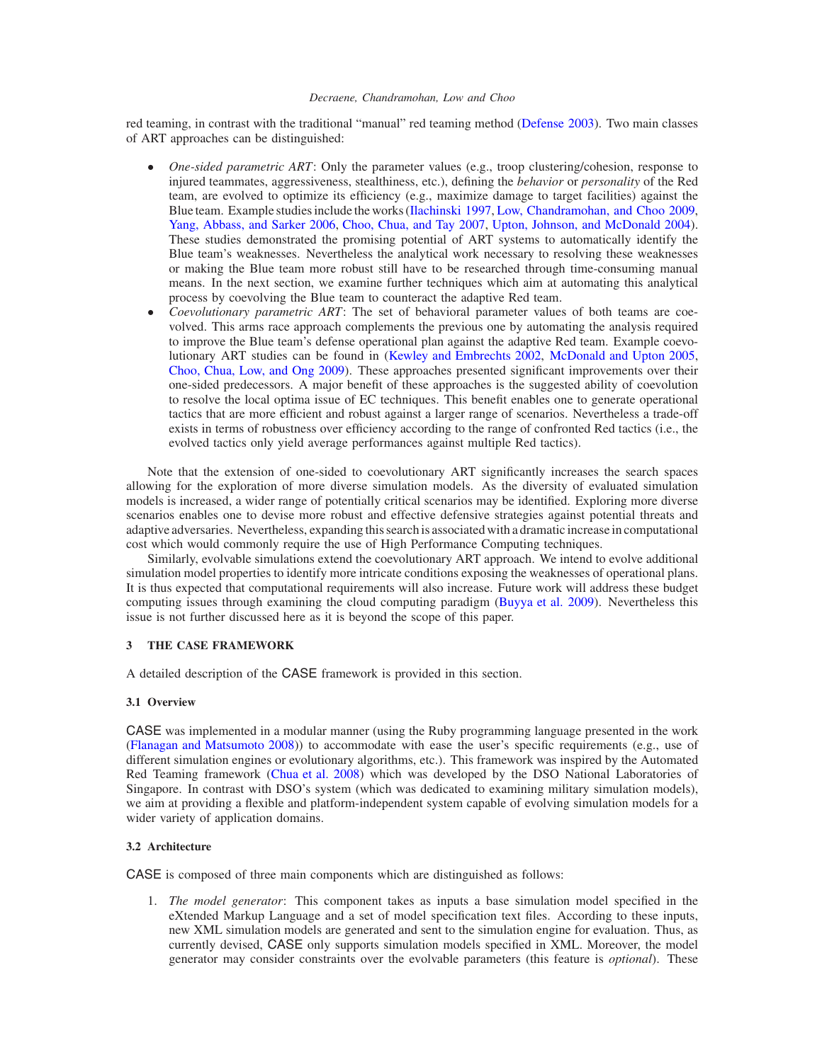red teaming, in contrast with the traditional "manual" red teaming method (Defense 2003). Two main classes of ART approaches can be distinguished:

- *One-sided parametric ART*: Only the parameter values (e.g., troop clustering/cohesion, response to injured teammates, aggressiveness, stealthiness, etc.), defining the *behavior* or *personality* of the Red team, are evolved to optimize its efficiency (e.g., maximize damage to target facilities) against the Blue team. Example studies include the works (Ilachinski 1997, Low, Chandramohan, and Choo 2009, Yang, Abbass, and Sarker 2006, Choo, Chua, and Tay 2007, Upton, Johnson, and McDonald 2004). These studies demonstrated the promising potential of ART systems to automatically identify the Blue team's weaknesses. Nevertheless the analytical work necessary to resolving these weaknesses or making the Blue team more robust still have to be researched through time-consuming manual means. In the next section, we examine further techniques which aim at automating this analytical process by coevolving the Blue team to counteract the adaptive Red team.
- *Coevolutionary parametric ART*: The set of behavioral parameter values of both teams are coevolved. This arms race approach complements the previous one by automating the analysis required to improve the Blue team's defense operational plan against the adaptive Red team. Example coevolutionary ART studies can be found in (Kewley and Embrechts 2002, McDonald and Upton 2005, Choo, Chua, Low, and Ong 2009). These approaches presented significant improvements over their one-sided predecessors. A major benefit of these approaches is the suggested ability of coevolution to resolve the local optima issue of EC techniques. This benefit enables one to generate operational tactics that are more efficient and robust against a larger range of scenarios. Nevertheless a trade-off exists in terms of robustness over efficiency according to the range of confronted Red tactics (i.e., the evolved tactics only yield average performances against multiple Red tactics).

Note that the extension of one-sided to coevolutionary ART significantly increases the search spaces allowing for the exploration of more diverse simulation models. As the diversity of evaluated simulation models is increased, a wider range of potentially critical scenarios may be identified. Exploring more diverse scenarios enables one to devise more robust and effective defensive strategies against potential threats and adaptive adversaries. Nevertheless, expanding this search is associated with a dramatic increase in computational cost which would commonly require the use of High Performance Computing techniques.

Similarly, evolvable simulations extend the coevolutionary ART approach. We intend to evolve additional simulation model properties to identify more intricate conditions exposing the weaknesses of operational plans. It is thus expected that computational requirements will also increase. Future work will address these budget computing issues through examining the cloud computing paradigm (Buyya et al. 2009). Nevertheless this issue is not further discussed here as it is beyond the scope of this paper.

## **3 THE CASE FRAMEWORK**

A detailed description of the CASE framework is provided in this section.

### **3.1 Overview**

CASE was implemented in a modular manner (using the Ruby programming language presented in the work (Flanagan and Matsumoto 2008)) to accommodate with ease the user's specific requirements (e.g., use of different simulation engines or evolutionary algorithms, etc.). This framework was inspired by the Automated Red Teaming framework (Chua et al. 2008) which was developed by the DSO National Laboratories of Singapore. In contrast with DSO's system (which was dedicated to examining military simulation models), we aim at providing a flexible and platform-independent system capable of evolving simulation models for a wider variety of application domains.

## **3.2 Architecture**

CASE is composed of three main components which are distinguished as follows:

1. *The model generator*: This component takes as inputs a base simulation model specified in the eXtended Markup Language and a set of model specification text files. According to these inputs, new XML simulation models are generated and sent to the simulation engine for evaluation. Thus, as currently devised, CASE only supports simulation models specified in XML. Moreover, the model generator may consider constraints over the evolvable parameters (this feature is *optional*). These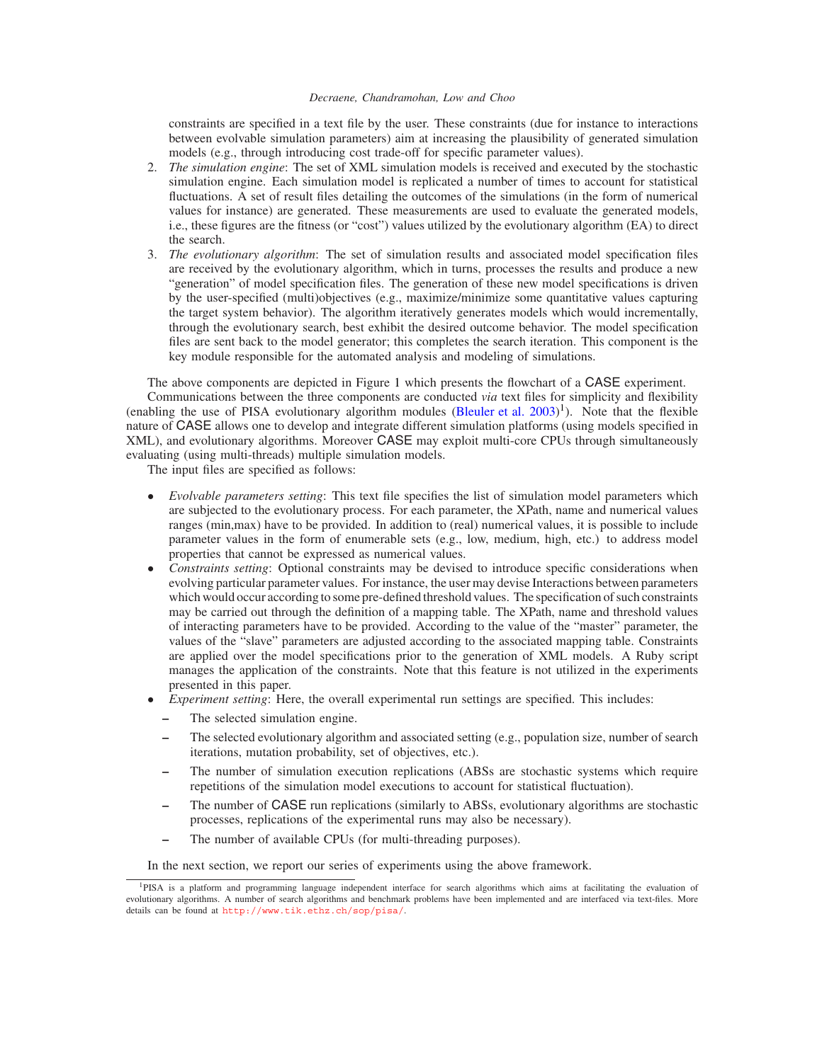constraints are specified in a text file by the user. These constraints (due for instance to interactions between evolvable simulation parameters) aim at increasing the plausibility of generated simulation models (e.g., through introducing cost trade-off for specific parameter values).

- 2. *The simulation engine*: The set of XML simulation models is received and executed by the stochastic simulation engine. Each simulation model is replicated a number of times to account for statistical fluctuations. A set of result files detailing the outcomes of the simulations (in the form of numerical values for instance) are generated. These measurements are used to evaluate the generated models, i.e., these figures are the fitness (or "cost") values utilized by the evolutionary algorithm (EA) to direct the search.
- 3. *The evolutionary algorithm*: The set of simulation results and associated model specification files are received by the evolutionary algorithm, which in turns, processes the results and produce a new "generation" of model specification files. The generation of these new model specifications is driven by the user-specified (multi)objectives (e.g., maximize/minimize some quantitative values capturing the target system behavior). The algorithm iteratively generates models which would incrementally, through the evolutionary search, best exhibit the desired outcome behavior. The model specification files are sent back to the model generator; this completes the search iteration. This component is the key module responsible for the automated analysis and modeling of simulations.

The above components are depicted in Figure 1 which presents the flowchart of a CASE experiment. Communications between the three components are conducted *via* text files for simplicity and flexibility (enabling the use of PISA evolutionary algorithm modules (Bleuler et al. 2003) 1). Note that the flexible nature of CASE allows one to develop and integrate different simulation platforms (using models specified in XML), and evolutionary algorithms. Moreover CASE may exploit multi-core CPUs through simultaneously evaluating (using multi-threads) multiple simulation models.

The input files are specified as follows:

- *Evolvable parameters setting*: This text file specifies the list of simulation model parameters which are subjected to the evolutionary process. For each parameter, the XPath, name and numerical values ranges (min,max) have to be provided. In addition to (real) numerical values, it is possible to include parameter values in the form of enumerable sets (e.g., low, medium, high, etc.) to address model properties that cannot be expressed as numerical values.
- *Constraints setting*: Optional constraints may be devised to introduce specific considerations when evolving particular parameter values. For instance, the user may devise Interactions between parameters which would occur according to some pre-defined threshold values. The specification of such constraints may be carried out through the definition of a mapping table. The XPath, name and threshold values of interacting parameters have to be provided. According to the value of the "master" parameter, the values of the "slave" parameters are adjusted according to the associated mapping table. Constraints are applied over the model specifications prior to the generation of XML models. A Ruby script manages the application of the constraints. Note that this feature is not utilized in the experiments presented in this paper.
- *Experiment setting*: Here, the overall experimental run settings are specified. This includes:
	- The selected simulation engine.
	- **–** The selected evolutionary algorithm and associated setting (e.g., population size, number of search iterations, mutation probability, set of objectives, etc.).
	- **–** The number of simulation execution replications (ABSs are stochastic systems which require repetitions of the simulation model executions to account for statistical fluctuation).
	- **–** The number of CASE run replications (similarly to ABSs, evolutionary algorithms are stochastic processes, replications of the experimental runs may also be necessary).
	- **–** The number of available CPUs (for multi-threading purposes).

In the next section, we report our series of experiments using the above framework.

<sup>&</sup>lt;sup>1</sup>PISA is a platform and programming language independent interface for search algorithms which aims at facilitating the evaluation of evolutionary algorithms. A number of search algorithms and benchmark problems have been implemented and are interfaced via text-files. More details can be found at http://www.tik.ethz.ch/sop/pisa/.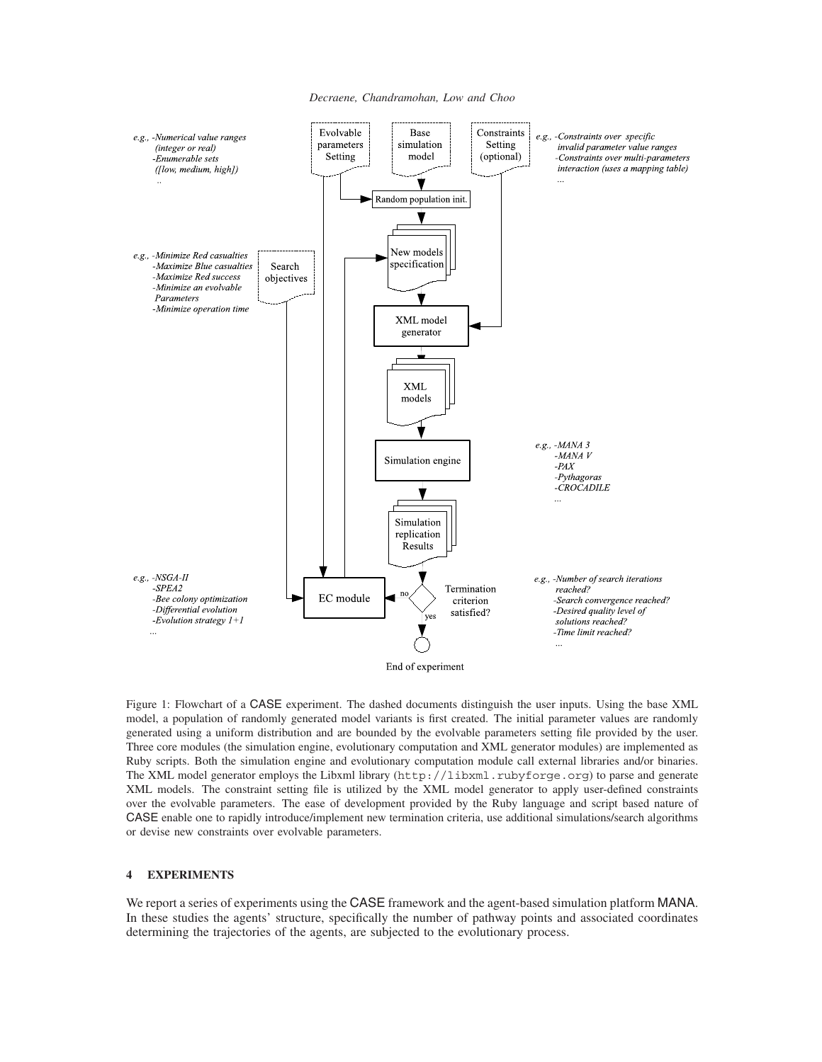*Decraene, Chandramohan, Low and Choo*



Figure 1: Flowchart of a CASE experiment. The dashed documents distinguish the user inputs. Using the base XML model, a population of randomly generated model variants is first created. The initial parameter values are randomly generated using a uniform distribution and are bounded by the evolvable parameters setting file provided by the user. Three core modules (the simulation engine, evolutionary computation and XML generator modules) are implemented as Ruby scripts. Both the simulation engine and evolutionary computation module call external libraries and/or binaries. The XML model generator employs the Libxml library (http://libxml.rubyforge.org) to parse and generate XML models. The constraint setting file is utilized by the XML model generator to apply user-defined constraints over the evolvable parameters. The ease of development provided by the Ruby language and script based nature of CASE enable one to rapidly introduce/implement new termination criteria, use additional simulations/search algorithms or devise new constraints over evolvable parameters.

## **4 EXPERIMENTS**

We report a series of experiments using the CASE framework and the agent-based simulation platform MANA. In these studies the agents' structure, specifically the number of pathway points and associated coordinates determining the trajectories of the agents, are subjected to the evolutionary process.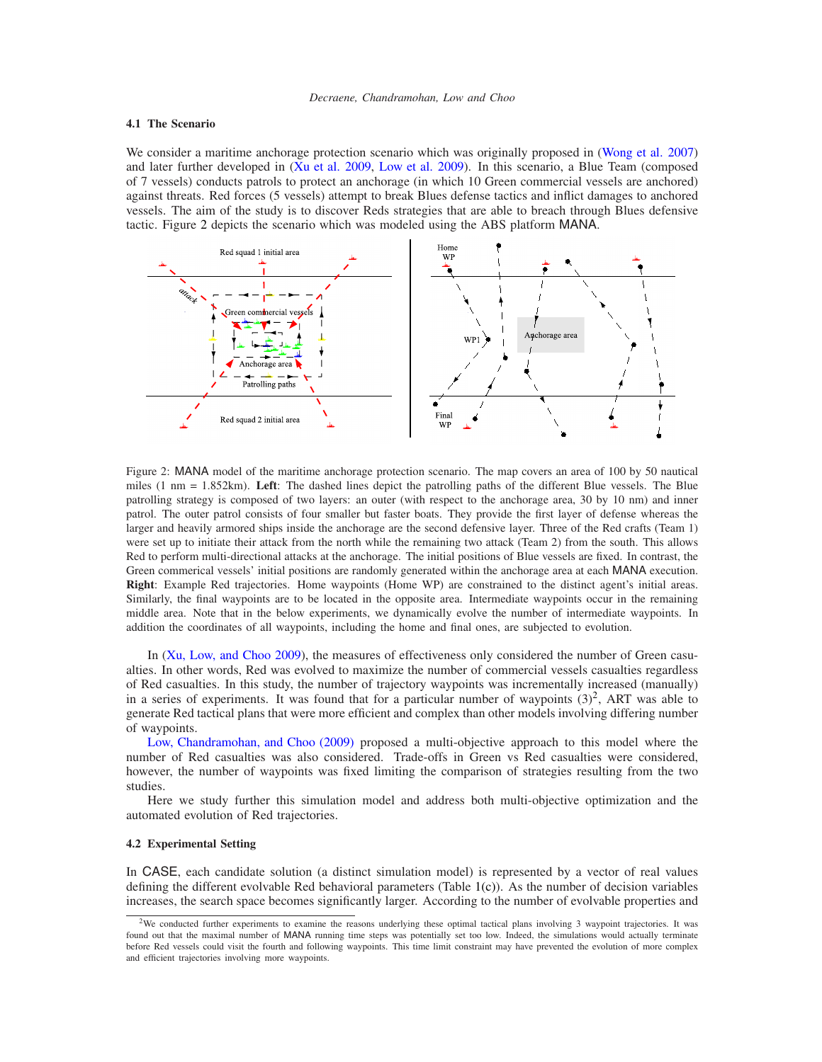## **4.1 The Scenario**

We consider a maritime anchorage protection scenario which was originally proposed in (Wong et al. 2007) and later further developed in (Xu et al. 2009, Low et al. 2009). In this scenario, a Blue Team (composed of 7 vessels) conducts patrols to protect an anchorage (in which 10 Green commercial vessels are anchored) against threats. Red forces (5 vessels) attempt to break Blues defense tactics and inflict damages to anchored vessels. The aim of the study is to discover Reds strategies that are able to breach through Blues defensive tactic. Figure 2 depicts the scenario which was modeled using the ABS platform MANA.



Figure 2: MANA model of the maritime anchorage protection scenario. The map covers an area of 100 by 50 nautical miles (1 nm = 1.852km). **Left**: The dashed lines depict the patrolling paths of the different Blue vessels. The Blue patrolling strategy is composed of two layers: an outer (with respect to the anchorage area, 30 by 10 nm) and inner patrol. The outer patrol consists of four smaller but faster boats. They provide the first layer of defense whereas the larger and heavily armored ships inside the anchorage are the second defensive layer. Three of the Red crafts (Team 1) were set up to initiate their attack from the north while the remaining two attack (Team 2) from the south. This allows Red to perform multi-directional attacks at the anchorage. The initial positions of Blue vessels are fixed. In contrast, the Green commerical vessels' initial positions are randomly generated within the anchorage area at each MANA execution. **Right**: Example Red trajectories. Home waypoints (Home WP) are constrained to the distinct agent's initial areas. Similarly, the final waypoints are to be located in the opposite area. Intermediate waypoints occur in the remaining middle area. Note that in the below experiments, we dynamically evolve the number of intermediate waypoints. In addition the coordinates of all waypoints, including the home and final ones, are subjected to evolution.

In (Xu, Low, and Choo 2009), the measures of effectiveness only considered the number of Green casualties. In other words, Red was evolved to maximize the number of commercial vessels casualties regardless of Red casualties. In this study, the number of trajectory waypoints was incrementally increased (manually) in a series of experiments. It was found that for a particular number of waypoints  $(3)^2$ , ART was able to generate Red tactical plans that were more efficient and complex than other models involving differing number of waypoints.

Low, Chandramohan, and Choo (2009) proposed a multi-objective approach to this model where the number of Red casualties was also considered. Trade-offs in Green vs Red casualties were considered, however, the number of waypoints was fixed limiting the comparison of strategies resulting from the two studies.

Here we study further this simulation model and address both multi-objective optimization and the automated evolution of Red trajectories.

### **4.2 Experimental Setting**

In CASE, each candidate solution (a distinct simulation model) is represented by a vector of real values defining the different evolvable Red behavioral parameters (Table 1(c)). As the number of decision variables increases, the search space becomes significantly larger. According to the number of evolvable properties and

<sup>&</sup>lt;sup>2</sup>We conducted further experiments to examine the reasons underlying these optimal tactical plans involving 3 waypoint trajectories. It was found out that the maximal number of MANA running time steps was potentially set too low. Indeed, the simulations would actually terminate before Red vessels could visit the fourth and following waypoints. This time limit constraint may have prevented the evolution of more complex and efficient trajectories involving more waypoints.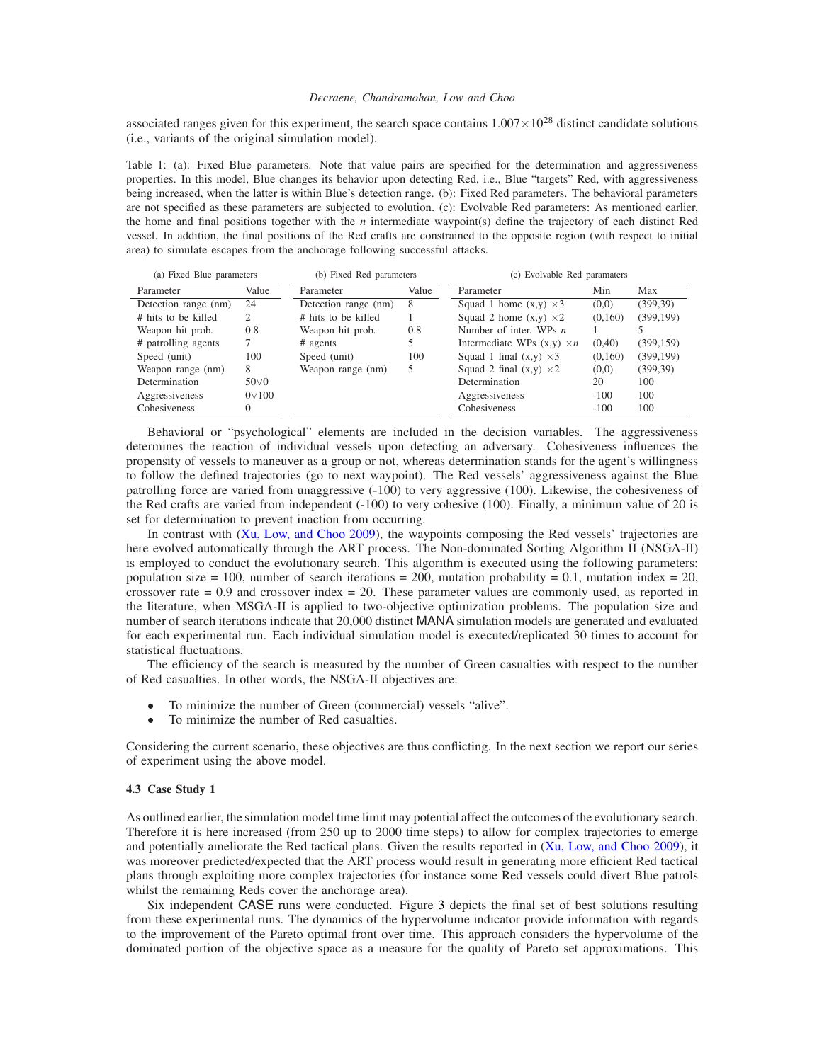associated ranges given for this experiment, the search space contains  $1.007\times10^{28}$  distinct candidate solutions (i.e., variants of the original simulation model).

Table 1: (a): Fixed Blue parameters. Note that value pairs are specified for the determination and aggressiveness properties. In this model, Blue changes its behavior upon detecting Red, i.e., Blue "targets" Red, with aggressiveness being increased, when the latter is within Blue's detection range. (b): Fixed Red parameters. The behavioral parameters are not specified as these parameters are subjected to evolution. (c): Evolvable Red parameters: As mentioned earlier, the home and final positions together with the *n* intermediate waypoint(s) define the trajectory of each distinct Red vessel. In addition, the final positions of the Red crafts are constrained to the opposite region (with respect to initial area) to simulate escapes from the anchorage following successful attacks.

| (a) Fixed Blue parameters |              | (b) Fixed Red parameters |       | (c) Evolvable Red paramaters      |         |            |
|---------------------------|--------------|--------------------------|-------|-----------------------------------|---------|------------|
| Parameter                 | Value        | Parameter                | Value | Parameter                         | Min     | Max        |
| Detection range (nm)      | 24           | Detection range (nm)     | 8     | Squad 1 home $(x,y) \times 3$     | (0,0)   | (399, 39)  |
| # hits to be killed       | 2            | # hits to be killed      |       | Squad 2 home $(x,y) \times 2$     | (0,160) | (399, 199) |
| Weapon hit prob.          | 0.8          | Weapon hit prob.         | 0.8   | Number of inter. WPs $n$          |         |            |
| # patrolling agents       |              | # agents                 | 5.    | Intermediate WPs $(x,y) \times n$ | (0, 40) | (399, 159) |
| Speed (unit)              | 100          | Speed (unit)             | 100   | Squad 1 final $(x,y) \times 3$    | (0,160) | (399, 199) |
| Weapon range (nm)         | 8            | Weapon range (nm)        | 5     | Squad 2 final $(x,y) \times 2$    | (0,0)   | (399, 39)  |
| Determination             | $50\vee 0$   |                          |       | Determination                     | 20      | 100        |
| Aggressiveness            | $0 \vee 100$ |                          |       | Aggressiveness                    | $-100$  | 100        |
| Cohesiveness              | 0            |                          |       | Cohesiveness                      | $-100$  | 100        |

Behavioral or "psychological" elements are included in the decision variables. The aggressiveness determines the reaction of individual vessels upon detecting an adversary. Cohesiveness influences the propensity of vessels to maneuver as a group or not, whereas determination stands for the agent's willingness to follow the defined trajectories (go to next waypoint). The Red vessels' aggressiveness against the Blue patrolling force are varied from unaggressive (-100) to very aggressive (100). Likewise, the cohesiveness of the Red crafts are varied from independent (-100) to very cohesive (100). Finally, a minimum value of 20 is set for determination to prevent inaction from occurring.

In contrast with (Xu, Low, and Choo 2009), the waypoints composing the Red vessels' trajectories are here evolved automatically through the ART process. The Non-dominated Sorting Algorithm II (NSGA-II) is employed to conduct the evolutionary search. This algorithm is executed using the following parameters: population size = 100, number of search iterations = 200, mutation probability = 0.1, mutation index = 20, crossover rate  $= 0.9$  and crossover index  $= 20$ . These parameter values are commonly used, as reported in the literature, when MSGA-II is applied to two-objective optimization problems. The population size and number of search iterations indicate that 20,000 distinct MANA simulation models are generated and evaluated for each experimental run. Each individual simulation model is executed/replicated 30 times to account for statistical fluctuations.

The efficiency of the search is measured by the number of Green casualties with respect to the number of Red casualties. In other words, the NSGA-II objectives are:

- To minimize the number of Green (commercial) vessels "alive".
- To minimize the number of Red casualties.

Considering the current scenario, these objectives are thus conflicting. In the next section we report our series of experiment using the above model.

## **4.3 Case Study 1**

As outlined earlier, the simulation model time limit may potential affect the outcomes of the evolutionary search. Therefore it is here increased (from 250 up to 2000 time steps) to allow for complex trajectories to emerge and potentially ameliorate the Red tactical plans. Given the results reported in (Xu, Low, and Choo 2009), it was moreover predicted/expected that the ART process would result in generating more efficient Red tactical plans through exploiting more complex trajectories (for instance some Red vessels could divert Blue patrols whilst the remaining Reds cover the anchorage area).

Six independent CASE runs were conducted. Figure 3 depicts the final set of best solutions resulting from these experimental runs. The dynamics of the hypervolume indicator provide information with regards to the improvement of the Pareto optimal front over time. This approach considers the hypervolume of the dominated portion of the objective space as a measure for the quality of Pareto set approximations. This